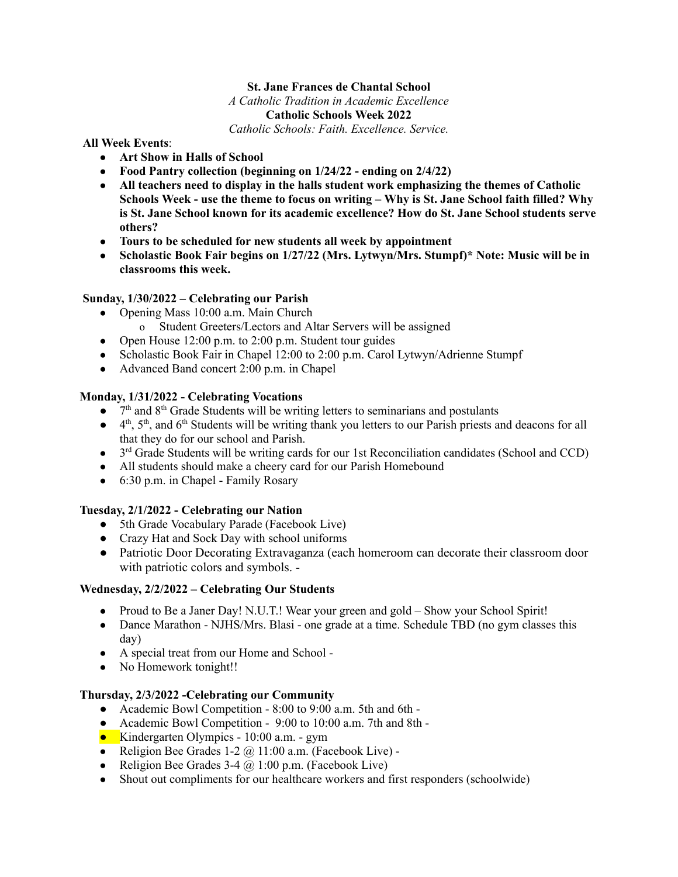## **St. Jane Frances de Chantal School**

 *A Catholic Tradition in Academic Excellence* 

# **Catholic Schools Week 2022**

 *Catholic Schools: Faith. Excellence. Service.* 

#### **All Week Events** :

- **Art Show in Halls of School**
- **Food Pantry collection (beginning on 1/24/22 ending on 2/4/22)**
- **All teachers need to display in the halls student work emphasizing the themes of Catholic Schools Week - use the theme to focus on writing – Why is St. Jane School faith filled? Why is St. Jane School known for its academic excellence? How do St. Jane School students serve others?**
- **Tours to be scheduled for new students all week by appointment**
- **Scholastic Book Fair begins on 1/27/22 (Mrs. Lytwyn/Mrs. Stumpf)\* Note: Music will be in classrooms this week.**

# **Sunday, 1/30/2022 – Celebrating our Parish**

- Opening Mass 10:00 a.m. Main Church
	- o Student Greeters/Lectors and Altar Servers will be assigned
- Open House 12:00 p.m. to 2:00 p.m. Student tour guides
- Scholastic Book Fair in Chapel 12:00 to 2:00 p.m. Carol Lytwyn/Adrienne Stumpf
- Advanced Band concert 2:00 p.m. in Chapel

## **Monday, 1/31/2022 - Celebrating Vocations**

- $\bullet$   $7<sup>th</sup>$  and 8<sup>th</sup> Grade Students will be writing letters to seminarians and postulants
- $\bullet$  4<sup>th</sup>, 5<sup>th</sup>, and 6<sup>th</sup> Students will be writing thank you letters to our Parish priests and deacons for all that they do for our school and Parish.
- $\bullet$  3<sup>rd</sup> Grade Students will be writing cards for our 1st Reconciliation candidates (School and CCD)
- All students should make a cheery card for our Parish Homebound
- 6:30 p.m. in Chapel Family Rosary

## **Tuesday, 2/1/2022 - Celebrating our Nation**

- 5th Grade Vocabulary Parade (Facebook Live)
- Crazy Hat and Sock Day with school uniforms
- Patriotic Door Decorating Extravaganza (each homeroom can decorate their classroom door with patriotic colors and symbols. -

## **Wednesday, 2/2/2022 – Celebrating Our Students**

- Proud to Be a Janer Day! N.U.T.! Wear your green and gold Show your School Spirit!
- Dance Marathon NJHS/Mrs. Blasi one grade at a time. Schedule TBD (no gym classes this day)
- A special treat from our Home and School -
- No Homework tonight!!

## **Thursday, 2/3/2022 -Celebrating our Community**

- Academic Bowl Competition 8:00 to 9:00 a.m. 5th and 6th -
- Academic Bowl Competition 9:00 to 10:00 a.m. 7th and 8th -
- Kindergarten Olympics 10:00 a.m. gym
- Religion Bee Grades 1-2  $\omega$  11:00 a.m. (Facebook Live) -
- Religion Bee Grades 3-4  $\omega$  1:00 p.m. (Facebook Live)
- Shout out compliments for our healthcare workers and first responders (schoolwide)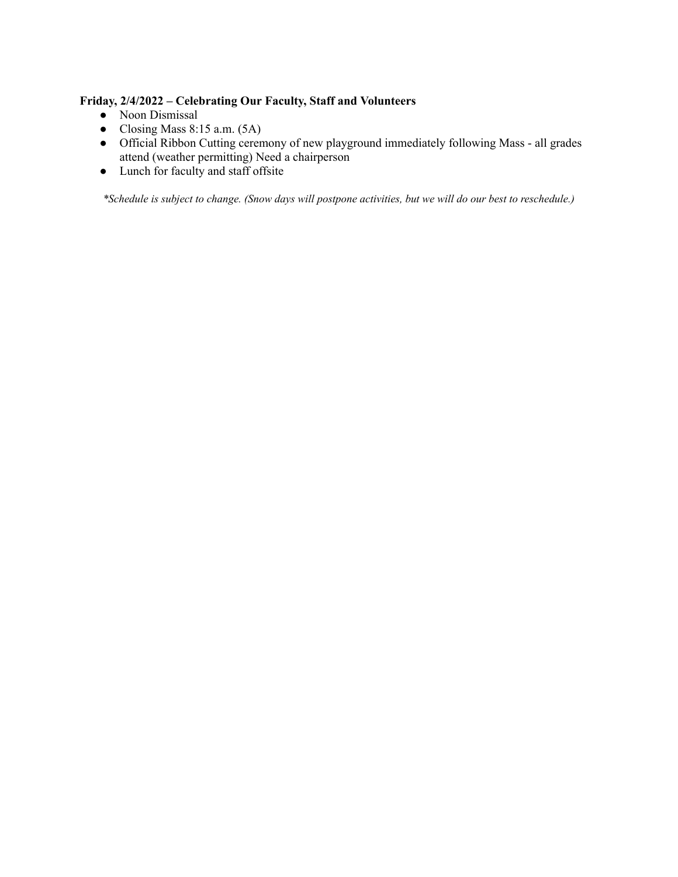# **Friday, 2/4/2022 – Celebrating Our Faculty, Staff and Volunteers**

- Noon Dismissal
- Closing Mass 8:15 a.m.  $(5A)$
- Official Ribbon Cutting ceremony of new playground immediately following Mass all grades attend (weather permitting) Need a chairperson
- Lunch for faculty and staff offsite

 *\*Schedule is subject to change. (Snow days will postpone activities, but we will do our best to reschedule.)*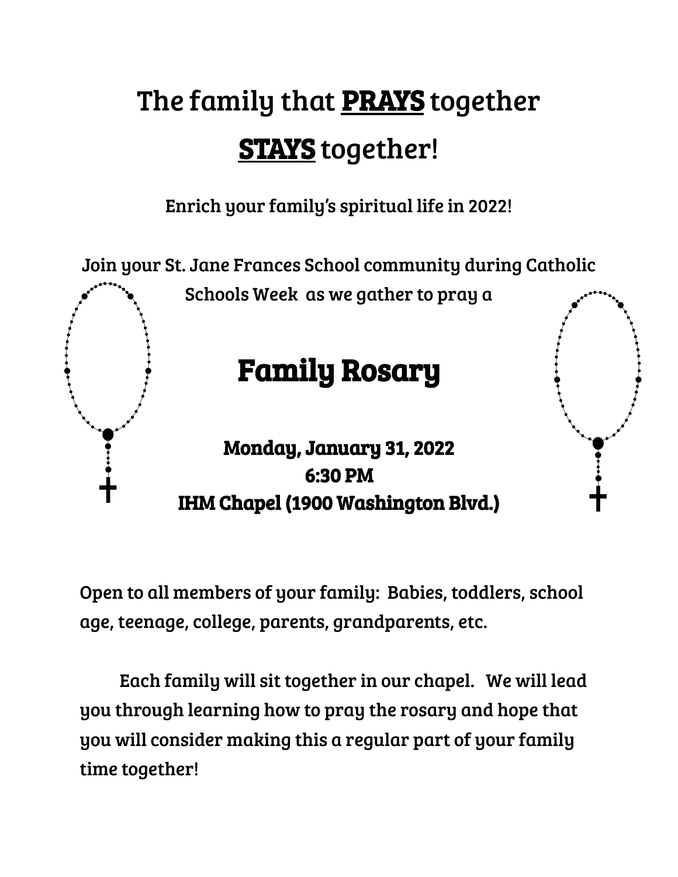# The family that **PRAYS** together **STAYS** together!

Enrich your family's spiritual life in 2022!



Open to all members of your family: Babies, toddlers, school age, teenage, college, parents, grandparents, etc.

Each family will sit together in our chapel. We will lead you through learning how to pray the rosary and hope that you will consider making this a regular part of your family time together!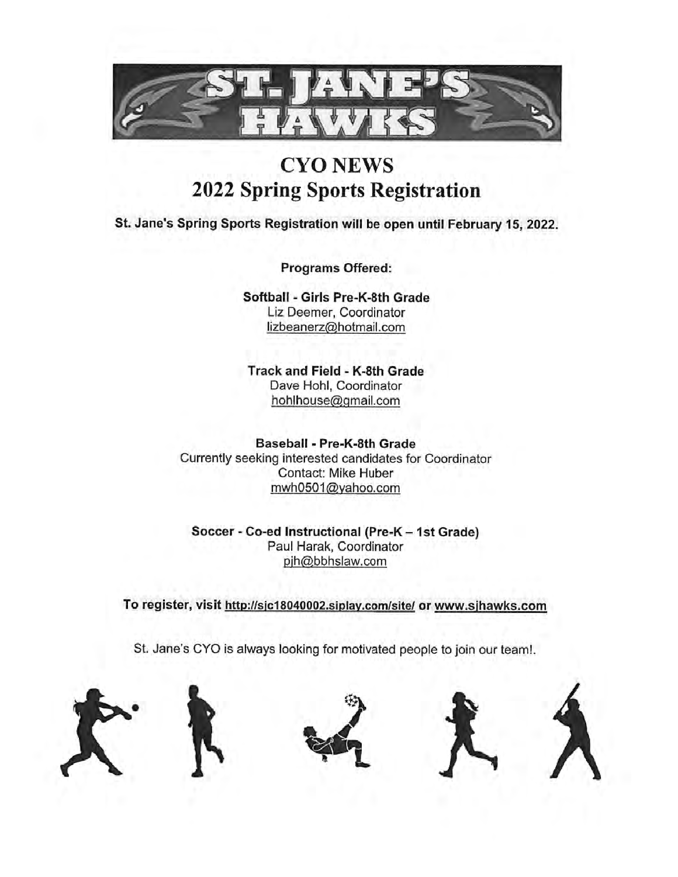

# **CYO NEWS 2022 Spring Sports Registration**

St. Jane's Spring Sports Registration will be open until February 15, 2022.

Programs Offered:

Softball - Girls Pre-K-8th Grade Liz Deemer, Coordinator lizbeanerz@hotmail.com

Track and Field - K-8th Grade Dave Hohl, Coordinator hohlhouse@gmail.com

Baseball - Pre-K-8th Grade Currently seeking interested candidates for Coordinator Contact: Mike Huber mwh0501@yahoo.com

Soccer - Co-ed Instructional (Pre-K - 1st Grade) Paul Harak, Coordinator pjh@bbhslaw.com

To register, visit http://sjc18040002.siplay.com/site/ or www.sjhawks.com

St. Jane's CYO is always looking for motivated people to join our team!.







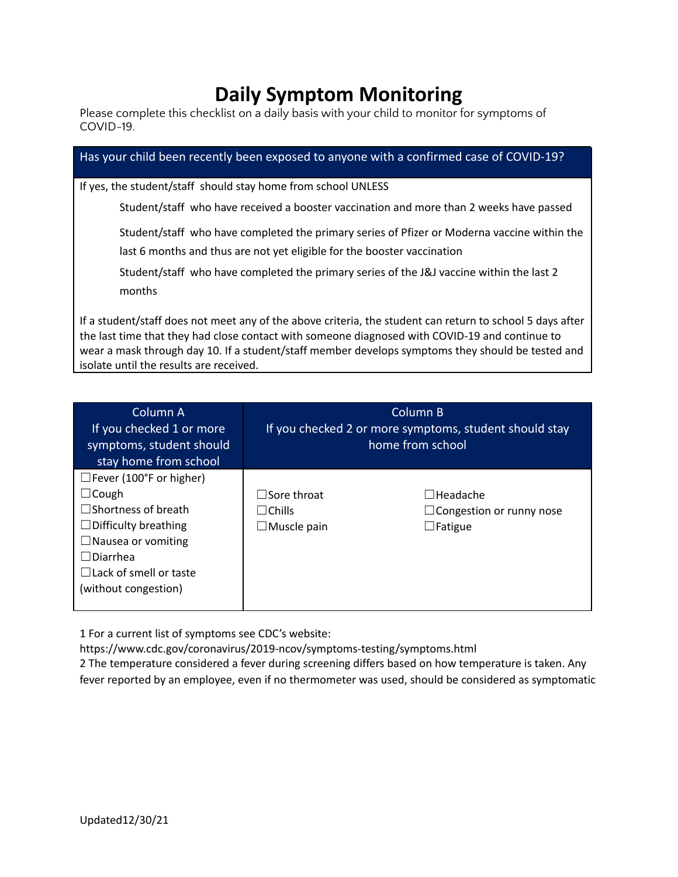# **Daily Symptom Monitoring** Please complete this checklist on a daily basis with your child to monitor for symptoms of

| COVID-19.                                                                                                                                                                                                                                                                                                        |
|------------------------------------------------------------------------------------------------------------------------------------------------------------------------------------------------------------------------------------------------------------------------------------------------------------------|
| Has your child been recently been exposed to anyone with a confirmed case of COVID-19?                                                                                                                                                                                                                           |
| If yes, the student/staff should stay home from school UNLESS                                                                                                                                                                                                                                                    |
| Student/staff who have received a booster vaccination and more than 2 weeks have passed                                                                                                                                                                                                                          |
| Student/staff who have completed the primary series of Pfizer or Moderna vaccine within the                                                                                                                                                                                                                      |
| last 6 months and thus are not yet eligible for the booster vaccination                                                                                                                                                                                                                                          |
| Student/staff who have completed the primary series of the J&J vaccine within the last 2<br>months                                                                                                                                                                                                               |
| If a student/staff does not meet any of the above criteria, the student can return to school 5 days after<br>the last time that they had close contact with someone diagnosed with COVID-19 and continue to<br>wear a mask through day 10. If a student/staff member develops symptoms they should be tested and |

| Column A<br>If you checked 1 or more<br>symptoms, student should<br>stay home from school                                                                                                                           | Column B<br>If you checked 2 or more symptoms, student should stay<br>home from school |                                                                      |  |
|---------------------------------------------------------------------------------------------------------------------------------------------------------------------------------------------------------------------|----------------------------------------------------------------------------------------|----------------------------------------------------------------------|--|
| $\Box$ Fever (100°F or higher)<br>⊥Cough<br>$\exists$ Shortness of breath<br>$\Box$ Difficulty breathing<br>$\Box$ Nausea or vomiting<br>$\sqcap$ Diarrhea<br>$\Box$ Lack of smell or taste<br>(without congestion) | $\Box$ Sore throat<br>l IChills<br>$\Box$ Muscle pain                                  | $\Box$ Headache<br>$\Box$ Congestion or runny nose<br>$\Box$ Fatigue |  |

1 For a current list of symptoms see CDC's website:

isolate until the results are received.

https://www.cdc.gov/coronavirus/2019-ncov/symptoms-testing/symptoms.html

2 The temperature considered a fever during screening differs based on how temperature is taken. Any fever reported by an employee, even if no thermometer was used, should be considered as symptomatic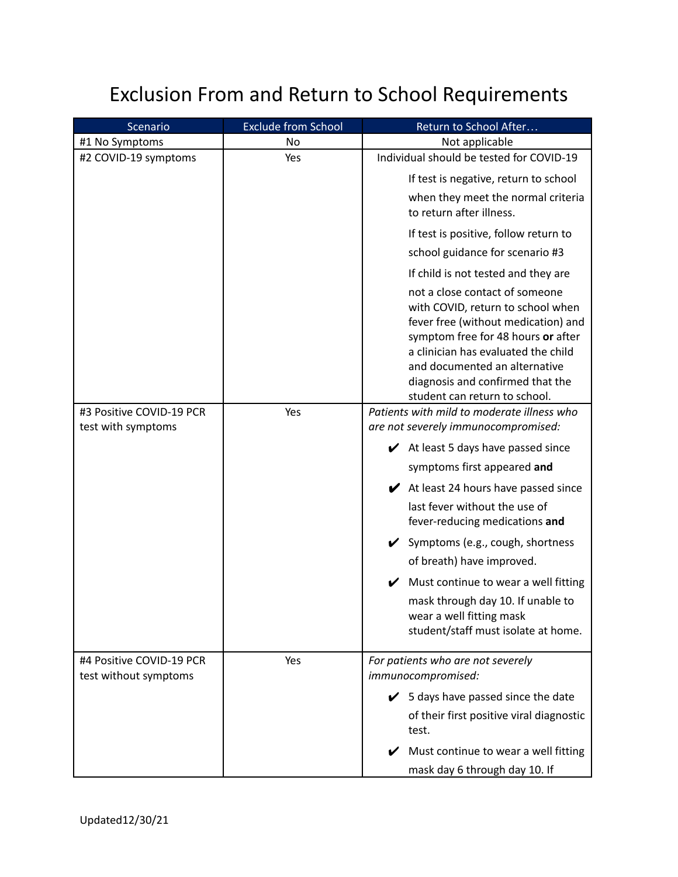# Exclusion From and Return to School Requirements

| Scenario                                          | <b>Exclude from School</b> | Return to School After                                                                                                                                                                                                                                                                        |
|---------------------------------------------------|----------------------------|-----------------------------------------------------------------------------------------------------------------------------------------------------------------------------------------------------------------------------------------------------------------------------------------------|
| #1 No Symptoms                                    | No                         | Not applicable                                                                                                                                                                                                                                                                                |
| #2 COVID-19 symptoms                              | Yes                        | Individual should be tested for COVID-19                                                                                                                                                                                                                                                      |
|                                                   |                            | If test is negative, return to school                                                                                                                                                                                                                                                         |
|                                                   |                            | when they meet the normal criteria<br>to return after illness.                                                                                                                                                                                                                                |
|                                                   |                            | If test is positive, follow return to                                                                                                                                                                                                                                                         |
|                                                   |                            | school guidance for scenario #3                                                                                                                                                                                                                                                               |
|                                                   |                            | If child is not tested and they are                                                                                                                                                                                                                                                           |
|                                                   |                            | not a close contact of someone<br>with COVID, return to school when<br>fever free (without medication) and<br>symptom free for 48 hours or after<br>a clinician has evaluated the child<br>and documented an alternative<br>diagnosis and confirmed that the<br>student can return to school. |
| #3 Positive COVID-19 PCR                          | Yes                        | Patients with mild to moderate illness who                                                                                                                                                                                                                                                    |
| test with symptoms                                |                            | are not severely immunocompromised:                                                                                                                                                                                                                                                           |
|                                                   |                            | $\blacktriangleright$ At least 5 days have passed since                                                                                                                                                                                                                                       |
|                                                   |                            | symptoms first appeared and                                                                                                                                                                                                                                                                   |
|                                                   |                            | $\blacktriangleright$ At least 24 hours have passed since                                                                                                                                                                                                                                     |
|                                                   |                            | last fever without the use of<br>fever-reducing medications and                                                                                                                                                                                                                               |
|                                                   |                            | ✔ Symptoms (e.g., cough, shortness                                                                                                                                                                                                                                                            |
|                                                   |                            | of breath) have improved.                                                                                                                                                                                                                                                                     |
|                                                   |                            | Must continue to wear a well fitting                                                                                                                                                                                                                                                          |
|                                                   |                            | mask through day 10. If unable to<br>wear a well fitting mask<br>student/staff must isolate at home.                                                                                                                                                                                          |
| #4 Positive COVID-19 PCR<br>test without symptoms | Yes                        | For patients who are not severely<br>immunocompromised:                                                                                                                                                                                                                                       |
|                                                   |                            | $\checkmark$ 5 days have passed since the date                                                                                                                                                                                                                                                |
|                                                   |                            | of their first positive viral diagnostic<br>test.                                                                                                                                                                                                                                             |
|                                                   |                            | Must continue to wear a well fitting                                                                                                                                                                                                                                                          |
|                                                   |                            | mask day 6 through day 10. If                                                                                                                                                                                                                                                                 |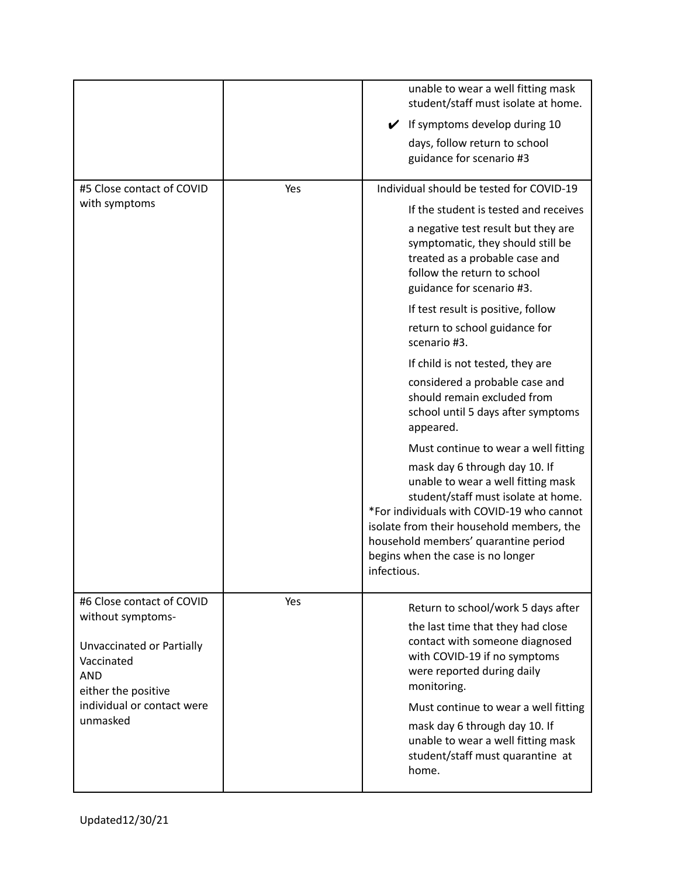|                                                                                                                                                                          |     | unable to wear a well fitting mask<br>student/staff must isolate at home.<br>If symptoms develop during 10<br>$\checkmark$<br>days, follow return to school<br>guidance for scenario #3                                                                                                                                                                                                                                                                                                                                                                                                                                                                                                                                                                                                                                                                |
|--------------------------------------------------------------------------------------------------------------------------------------------------------------------------|-----|--------------------------------------------------------------------------------------------------------------------------------------------------------------------------------------------------------------------------------------------------------------------------------------------------------------------------------------------------------------------------------------------------------------------------------------------------------------------------------------------------------------------------------------------------------------------------------------------------------------------------------------------------------------------------------------------------------------------------------------------------------------------------------------------------------------------------------------------------------|
| #5 Close contact of COVID<br>with symptoms                                                                                                                               | Yes | Individual should be tested for COVID-19<br>If the student is tested and receives<br>a negative test result but they are<br>symptomatic, they should still be<br>treated as a probable case and<br>follow the return to school<br>guidance for scenario #3.<br>If test result is positive, follow<br>return to school guidance for<br>scenario #3.<br>If child is not tested, they are<br>considered a probable case and<br>should remain excluded from<br>school until 5 days after symptoms<br>appeared.<br>Must continue to wear a well fitting<br>mask day 6 through day 10. If<br>unable to wear a well fitting mask<br>student/staff must isolate at home.<br>*For individuals with COVID-19 who cannot<br>isolate from their household members, the<br>household members' quarantine period<br>begins when the case is no longer<br>infectious. |
| #6 Close contact of COVID<br>without symptoms-<br>Unvaccinated or Partially<br>Vaccinated<br><b>AND</b><br>either the positive<br>individual or contact were<br>unmasked | Yes | Return to school/work 5 days after<br>the last time that they had close<br>contact with someone diagnosed<br>with COVID-19 if no symptoms<br>were reported during daily<br>monitoring.<br>Must continue to wear a well fitting<br>mask day 6 through day 10. If<br>unable to wear a well fitting mask<br>student/staff must quarantine at<br>home.                                                                                                                                                                                                                                                                                                                                                                                                                                                                                                     |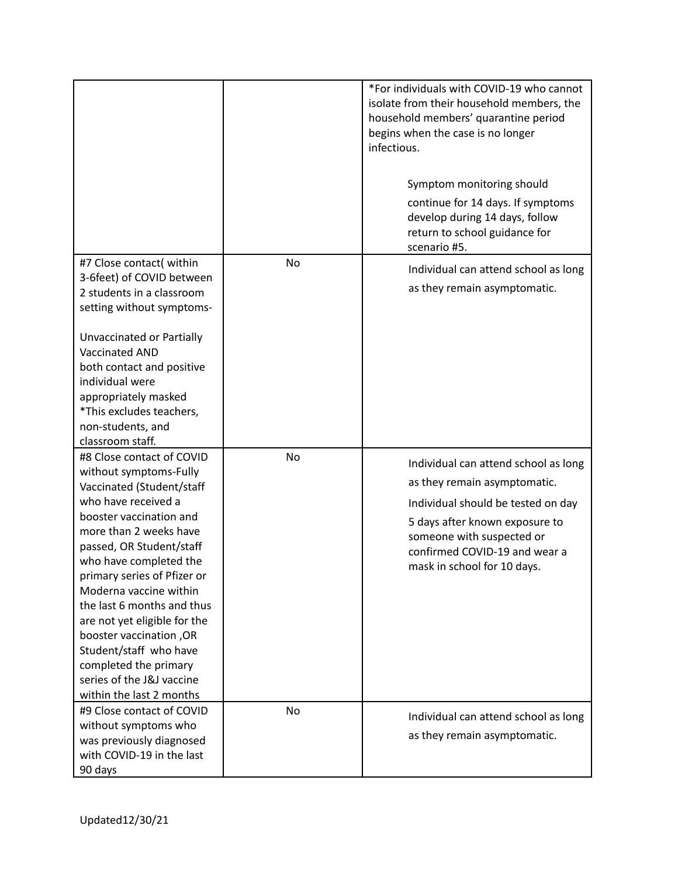|                                                                                                                                                                                                                                                                                                                                                                                                                                                                                  |    | *For individuals with COVID-19 who cannot<br>isolate from their household members, the<br>household members' quarantine period<br>begins when the case is no longer<br>infectious.<br>Symptom monitoring should<br>continue for 14 days. If symptoms<br>develop during 14 days, follow<br>return to school guidance for<br>scenario #5. |
|----------------------------------------------------------------------------------------------------------------------------------------------------------------------------------------------------------------------------------------------------------------------------------------------------------------------------------------------------------------------------------------------------------------------------------------------------------------------------------|----|-----------------------------------------------------------------------------------------------------------------------------------------------------------------------------------------------------------------------------------------------------------------------------------------------------------------------------------------|
| #7 Close contact( within<br>3-6feet) of COVID between<br>2 students in a classroom<br>setting without symptoms-<br>Unvaccinated or Partially<br>Vaccinated AND<br>both contact and positive<br>individual were<br>appropriately masked<br>*This excludes teachers,<br>non-students, and<br>classroom staff.                                                                                                                                                                      | No | Individual can attend school as long<br>as they remain asymptomatic.                                                                                                                                                                                                                                                                    |
| #8 Close contact of COVID<br>without symptoms-Fully<br>Vaccinated (Student/staff<br>who have received a<br>booster vaccination and<br>more than 2 weeks have<br>passed, OR Student/staff<br>who have completed the<br>primary series of Pfizer or<br>Moderna vaccine within<br>the last 6 months and thus<br>are not yet eligible for the<br>booster vaccination, OR<br>Student/staff who have<br>completed the primary<br>series of the J&J vaccine<br>within the last 2 months | No | Individual can attend school as long<br>as they remain asymptomatic.<br>Individual should be tested on day<br>5 days after known exposure to<br>someone with suspected or<br>confirmed COVID-19 and wear a<br>mask in school for 10 days.                                                                                               |
| #9 Close contact of COVID<br>without symptoms who<br>was previously diagnosed<br>with COVID-19 in the last<br>90 days                                                                                                                                                                                                                                                                                                                                                            | No | Individual can attend school as long<br>as they remain asymptomatic.                                                                                                                                                                                                                                                                    |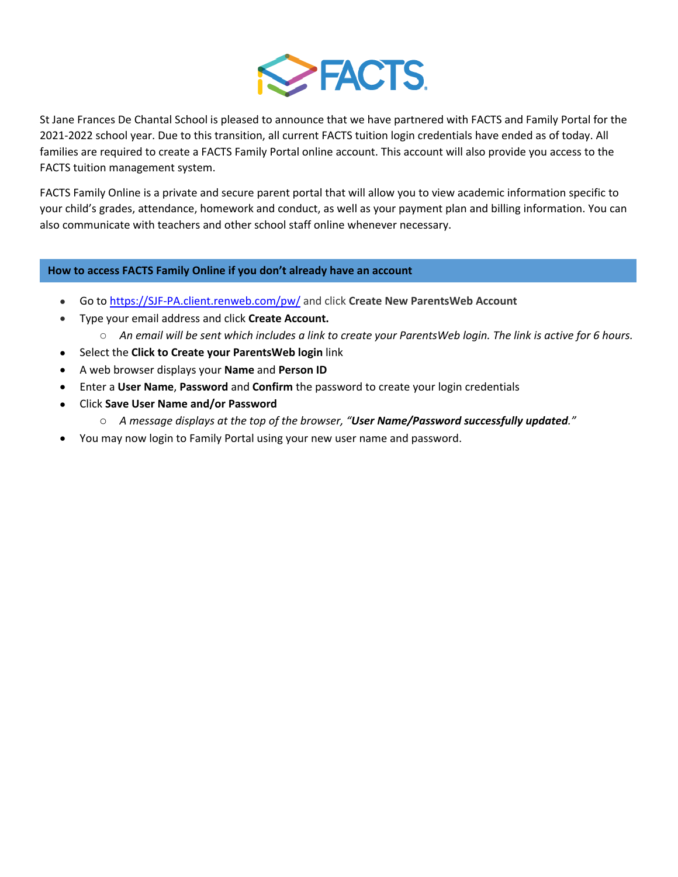

St Jane Frances De Chantal School is pleased to announce that we have partnered with FACTS and Family Portal for the 2021-2022 school year. Due to this transition, all current FACTS tuition login credentials have ended as of today. All families are required to create a FACTS Family Portal online account. This account will also provide you access to the FACTS tuition management system.

FACTS Family Online is a private and secure parent portal that will allow you to view academic information specific to your child's grades, attendance, homework and conduct, as well as your payment plan and billing information. You can also communicate with teachers and other school staff online whenever necessary.

## **How to access FACTS Family Online if you don't already have an account**

- Go to https://SJF-PA.client.renweb.com/pw/ and click **Create New ParentsWeb Account**
- Type your email address and click **Create Account.**
	- o *An email will be sent which includes a link to create your ParentsWeb login. The link is active for 6 hours.*
- Select the **Click to Create your ParentsWeb login** link
- A web browser displays your **Name** and **Person ID**
- Enter a **User Name**, **Password** and **Confirm** the password to create your login credentials
- Click **Save User Name and/or Password**
	- o *A message displays at the top of the browser, "User Name/Password successfully updated."*
- You may now login to Family Portal using your new user name and password.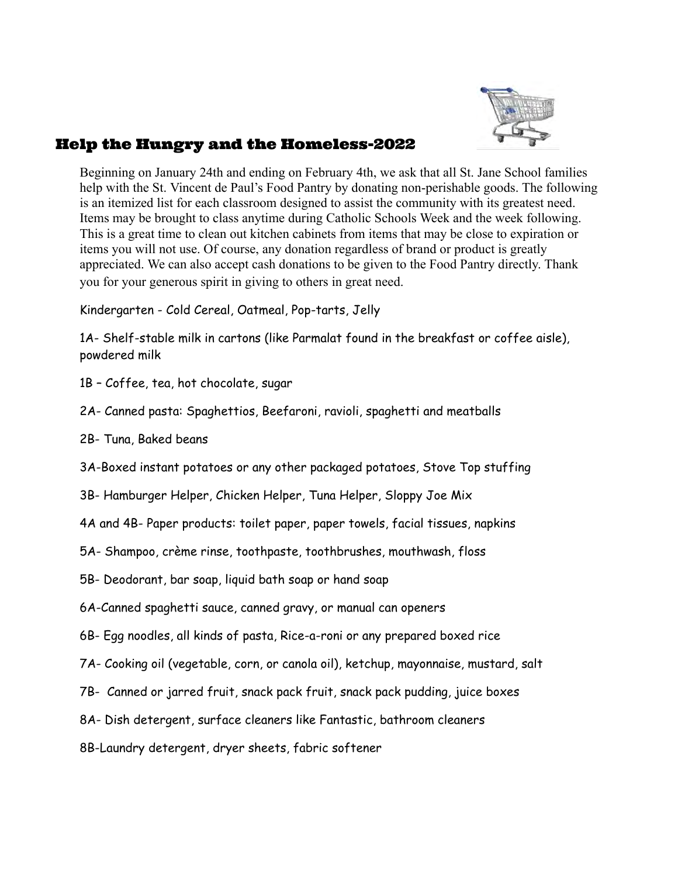

# Help the Hungry and the Homeless-2022

 Beginning on January 24th and ending on February 4th, we ask that all St. Jane School families help with the St. Vincent de Paul's Food Pantry by donating non-perishable goods. The following is an itemized list for each classroom designed to assist the community with its greatest need. Items may be brought to class anytime during Catholic Schools Week and the week following. This is a great time to clean out kitchen cabinets from items that may be close to expiration or items you will not use. Of course, any donation regardless of brand or product is greatly appreciated. We can also accept cash donations to be given to the Food Pantry directly. Thank you for your generous spirit in giving to others in great need.

Kindergarten - Cold Cereal, Oatmeal, Pop-tarts, Jelly

 1A- Shelf-stable milk in cartons (like Parmalat found in the breakfast or coffee aisle), powdered milk

- 1B Coffee, tea, hot chocolate, sugar
- 2A- Canned pasta: Spaghettios, Beefaroni, ravioli, spaghetti and meatballs
- 2B- Tuna, Baked beans

3A-Boxed instant potatoes or any other packaged potatoes, Stove Top stuffing

3B- Hamburger Helper, Chicken Helper, Tuna Helper, Sloppy Joe Mix

4A and 4B- Paper products: toilet paper, paper towels, facial tissues, napkins

5A- Shampoo, crème rinse, toothpaste, toothbrushes, mouthwash, floss

5B- Deodorant, bar soap, liquid bath soap or hand soap

6A-Canned spaghetti sauce, canned gravy, or manual can openers

6B- Egg noodles, all kinds of pasta, Rice-a-roni or any prepared boxed rice

7A- Cooking oil (vegetable, corn, or canola oil), ketchup, mayonnaise, mustard, salt

7B- Canned or jarred fruit, snack pack fruit, snack pack pudding, juice boxes

8A- Dish detergent, surface cleaners like Fantastic, bathroom cleaners

8B-Laundry detergent, dryer sheets, fabric softener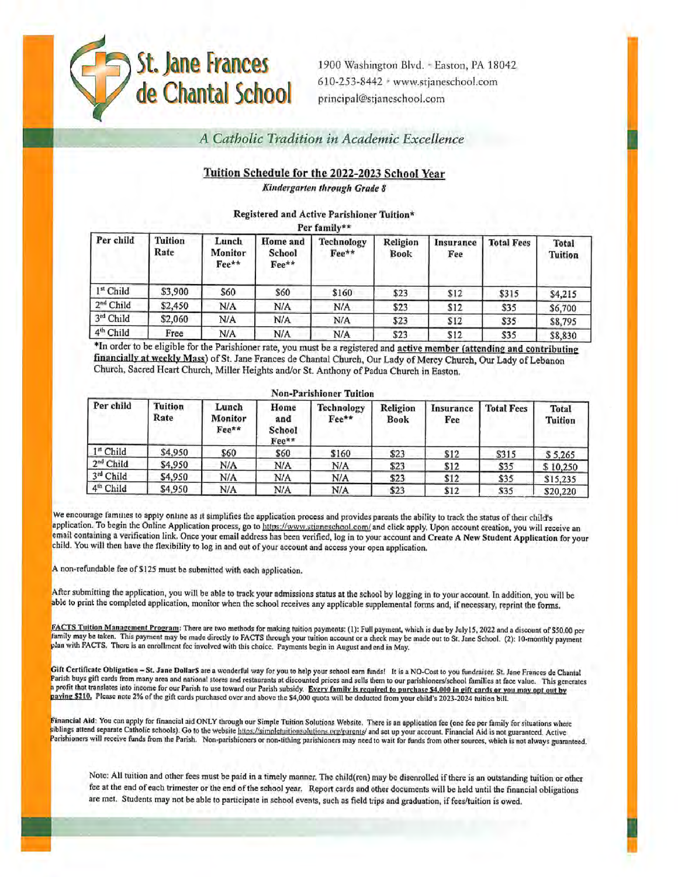

1900 Washington Blvd. - Easton, PA 18042 610-253-8442 \* www.stjaneschool.com principal@stjaneschool.com

# A Catholic Tradition in Academic Excellence

# Tuition Schedule for the 2022-2023 School Year

Kindergarten through Grade 8

#### Registered and Active Parishioner Tuition\*

Per family\*\*

| Per child             | <b>Tuition</b><br>Rate | Lunch<br>Monitor<br>Fee** | Home and<br>School<br>Fee** | Technology<br>Fee** | Religion<br><b>Book</b> | Insurance<br>Fee | <b>Total Fees</b> | Total<br><b>Tuition</b> |
|-----------------------|------------------------|---------------------------|-----------------------------|---------------------|-------------------------|------------------|-------------------|-------------------------|
| 1st Child             | \$3,900                | \$60                      | \$60                        | \$160               | \$23                    | \$12             | \$315             | \$4,215                 |
| 2 <sup>nd</sup> Child | \$2,450                | N/A                       | N/A                         | N/A                 | \$23                    | \$12             | \$35              | \$6,700                 |
| 3rd Child             | \$2,060                | N/A                       | N/A                         | N/A                 | \$23                    | \$12             | \$35              | \$8,795                 |
| 4 <sup>th</sup> Child | Free                   | N/A                       | N/A                         | N/A                 | \$23                    | \$12             | \$35              | \$8,830                 |

\*In order to be eligible for the Parishioner rate, you must be a registered and active member (attending and contributing financially at weekly Mass) of St. Jane Frances de Chantal Church, Our Lady of Mercy Church, Our Lady of Lebanon Church, Sacred Heart Church, Miller Heights and/or St. Anthony of Padua Church in Easton.

| Per child   | <b>Tuition</b><br>Rate | Lunch<br>Monitor<br>Fee** | Home<br>and<br>School<br>Fee** | <b>Technology</b><br>Fee** | Religion<br>Book | Insurance<br>Fee | <b>Total Fees</b> | <b>Total</b><br><b>Tuition</b> |
|-------------|------------------------|---------------------------|--------------------------------|----------------------------|------------------|------------------|-------------------|--------------------------------|
| 1st Child   | \$4,950                | \$60                      | \$60                           | \$160                      | \$23             | \$12             | \$315             | \$5,265                        |
| $2nd$ Child | \$4,950                | N/A                       | N/A                            | N/A                        | \$23             | \$12             | \$35              | \$10,250                       |
| 3rd Child   | \$4,950                | N/A                       | N/A                            | N/A                        | \$23             | \$12             | \$35              | \$15,235                       |
| $4th$ Child | \$4,950                | N/A                       | N/A                            | N/A                        | \$23             | \$12             | \$35              | \$20,220                       |

#### We encourage families to apply online as it simplifies the application process and provides parents the ability to track the status of their child's application. To begin the Online Application process, go to https://www.stjaneschool.com/ and click apply. Upon account creation, you will receive an email containing a verification link. Once your email address has been verified, log in to your account and Create A New Student Application for your child. You will then have the flexibility to log in and out of your account and access your open application.

A non-refundable fee of \$125 must be submitted with each application.

After submitting the application, you will be able to track your admissions status at the school by logging in to your account. In addition, you will be able to print the completed application, monitor when the school receives any applicable supplemental forms and, if necessary, reprint the forms.

FACTS Tuition Management Program: There are two methods for making tuition payments: (1): Full payment, which is due by July15, 2022 and a discount of \$50.00 per family may be taken. This payment may be made directly to FACTS through your tuition account or a check may be made out to St. Jane School. (2): 10-monthly payment plan with FACTS. There is an enrollment fee involved with this choice. Payments begin in August and end in May.

Gift Certificate Obligation - St. Jane Dollar\$ are a wonderful way for you to help your school earn funds! It is a NO-Cost to you fundraiser. St. Jane Frances de Chantal Parish buys gift cards from many area and national stores and restaurants at discounted prices and sells them to our parishioners/school families at face value. This generates a profit that translates into income for our Parish to use toward our Parish subsidy. Every family is required to purchase \$4,000 in eift cards or you may opt out by paying \$210. Please note 2% of the gift cards purchased over and above the \$4,000 quota will be deducted from your child's 2023-2024 tuition bill.

Financial Aid: You can apply for financial aid ONLY through our Simple Tuition Solutions Website. There is an application fee (one fee per family for situations where siblings attend separate Catholic schools). Go to the website https://simpletuitionsolutions.org/parents/ and set up your account. Financial Aid is not guaranteed. Active<br>Parishioners will receive funds from the Parish. No

Note: All tuition and other fees must be paid in a timely manner. The child(ren) may be disenrolled if there is an outstanding tuition or other fee at the end of each trimester or the end of the school year. Report cards and other documents will be held until the financial obligations are met. Students may not be able to participate in school events, such as field trips and graduation, if fees/tuition is owed.

#### Non-Doublineou Tuttion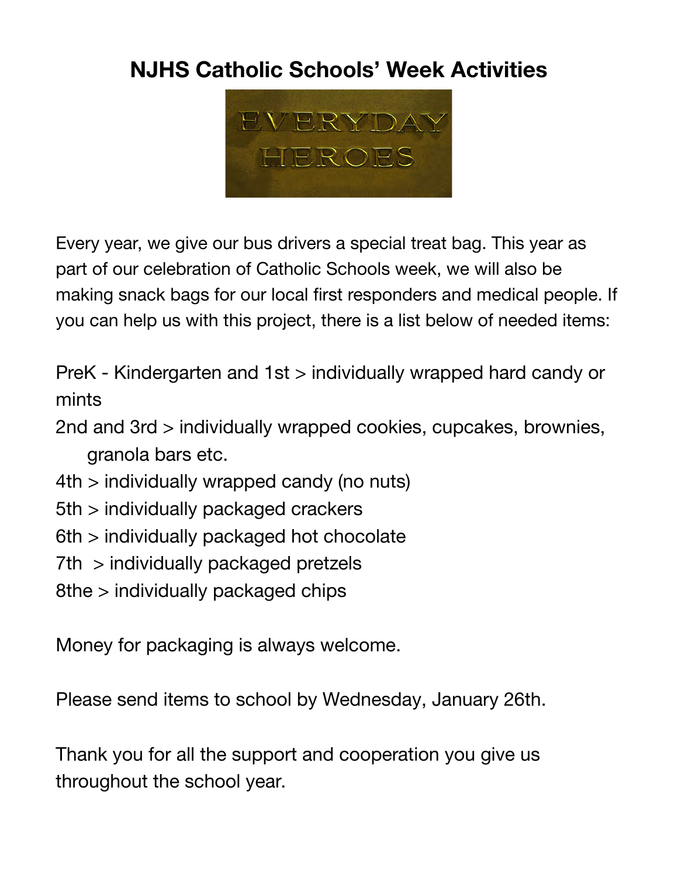# **NJHS Catholic Schools' Week Activities**



 Every year, we give our bus drivers a special treat bag. This year as part of our celebration of Catholic Schools week, we will also be making snack bags for our local first responders and medical people. If you can help us with this project, there is a list below of needed items:

 PreK - Kindergarten and 1st > individually wrapped hard candy or mints

 2nd and 3rd > individually wrapped cookies, cupcakes, brownies, granola bars etc.

- 4th > individually wrapped candy (no nuts)
- 5th > individually packaged crackers
- 6th > individually packaged hot chocolate
- 7th > individually packaged pretzels
- 8the > individually packaged chips

Money for packaging is always welcome.

Please send items to school by Wednesday, January 26th.

 Thank you for all the support and cooperation you give us throughout the school year.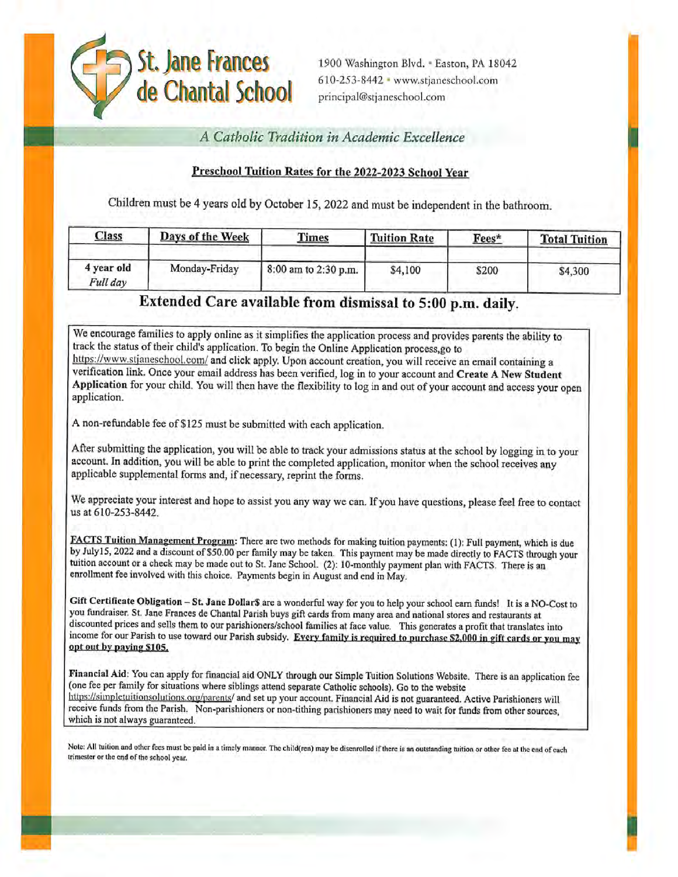

1900 Washington Blvd. - Easton, PA 18042 610-253-8442 · www.stjaneschool.com principal@stjaneschool.com

A Catholic Tradition in Academic Excellence

# Preschool Tuition Rates for the 2022-2023 School Year

Children must be 4 years old by October 15, 2022 and must be independent in the bathroom.

| <b>Class</b>           | Days of the Week | <b>Times</b>         | <b>Tuition Rate</b> | Fees* | <b>Total Tuition</b><br>\$4,300 |  |
|------------------------|------------------|----------------------|---------------------|-------|---------------------------------|--|
| 4 year old<br>Full day | Monday-Friday    | 8:00 am to 2:30 p.m. | \$4,100             | \$200 |                                 |  |

# Extended Care available from dismissal to 5:00 p.m. daily.

We encourage families to apply online as it simplifies the application process and provides parents the ability to track the status of their child's application. To begin the Online Application process,go to https://www.stjaneschool.com/ and click apply. Upon account creation, you will receive an email containing a verification link. Once your email address has been verified, log in to your account and Create A New Student Application for your child. You will then have the flexibility to log in and out of your account and access your open application.

A non-refundable fee of \$125 must be submitted with each application.

After submitting the application, you will be able to track your admissions status at the school by logging in to your account. In addition, you will be able to print the completed application, monitor when the school receives any applicable supplemental forms and, if necessary, reprint the forms.

We appreciate your interest and hope to assist you any way we can. If you have questions, please feel free to contact us at 610-253-8442.

FACTS Tuition Management Program: There are two methods for making tuition payments: (1): Full payment, which is due by July15, 2022 and a discount of \$50.00 per family may be taken. This payment may be made directly to FACTS through your tuition account or a check may be made out to St. Jane School. (2): 10-monthly payment plan with FACTS. There is an enrollment fee involved with this choice. Payments begin in August and end in May.

Gift Certificate Obligation - St. Jane Dollar\$ are a wonderful way for you to help your school earn funds! It is a NO-Cost to you fundraiser. St. Jane Frances de Chantal Parish buys gift cards from many area and national stores and restaurants at discounted prices and sells them to our parishioners/school families at face value. This generates a profit that translates into income for our Parish to use toward our Parish subsidy. Every family is required to purchase \$2,000 in gift cards or you may opt out by paying \$105.

Financial Aid: You can apply for financial aid ONLY through our Simple Tuition Solutions Website. There is an application fee (one fee per family for situations where siblings attend separate Catholic schools). Go to the website https://simpletuitionsolutions.org/parents/ and set up your account. Financial Aid is not guaranteed. Active Parishioners will receive funds from the Parish. Non-parishioners or non-tithing parishioners may need to wait for funds from other sources, which is not always guaranteed.

Note: All tuition and other fees must be paid in a timely manner. The child(ren) may be disenrolled if there is an outstanding tuition or other fee at the end of each trimester or the end of the school year.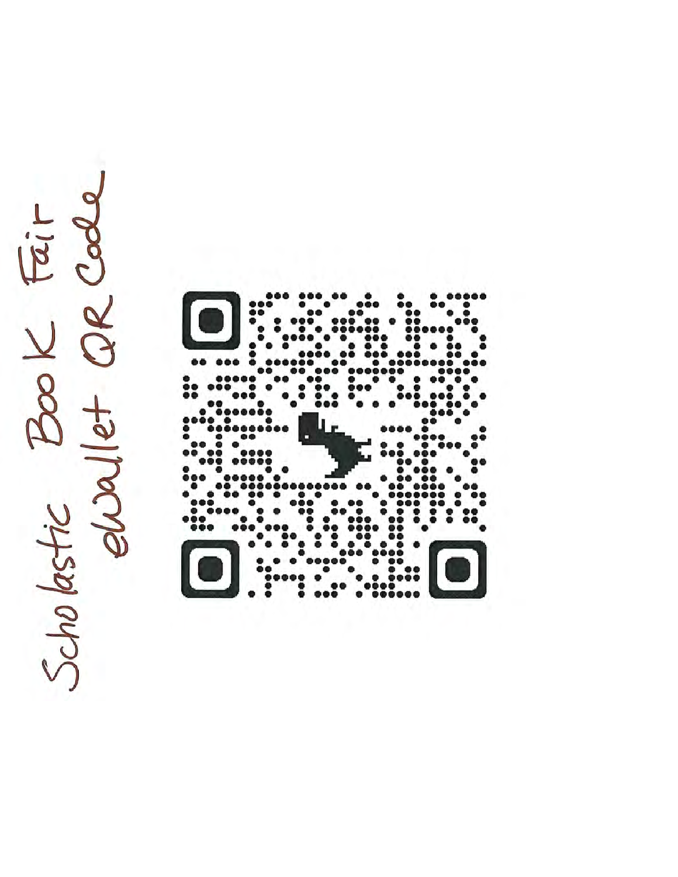Scholastic Book Fair

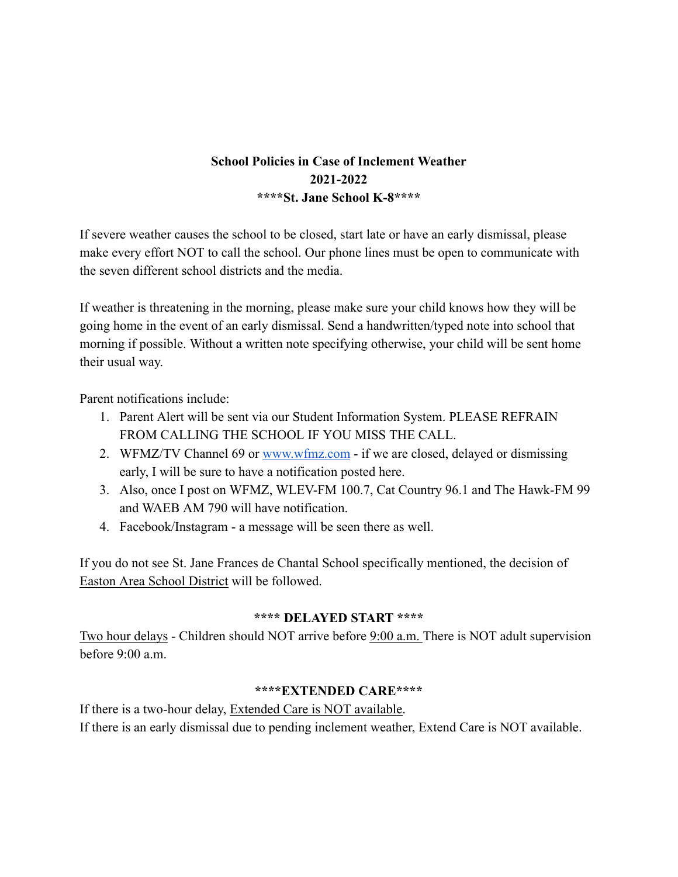# **School Policies in Case of Inclement Weather 2021-2022 \*\*\*\*St. Jane School K-8\*\*\*\***

 If severe weather causes the school to be closed, start late or have an early dismissal, please make every effort NOT to call the school. Our phone lines must be open to communicate with the seven different school districts and the media.

 If weather is threatening in the morning, please make sure your child knows how they will be going home in the event of an early dismissal. Send a handwritten/typed note into school that morning if possible. Without a written note specifying otherwise, your child will be sent home their usual way.

Parent notifications include:

- 1. Parent Alert will be sent via our Student Information System. PLEASE REFRAIN FROM CALLING THE SCHOOL IF YOU MISS THE CALL.
- 2. WFMZ/TV Channel 69 or [www.wfmz.com](http://www.wfmz.com/) if we are closed, delayed or dismissing early, I will be sure to have a notification posted here.
- 3. Also, once I post on WFMZ, WLEV-FM 100.7, Cat Country 96.1 and The Hawk-FM 99 and WAEB AM 790 will have notification.
- 4. Facebook/Instagram a message will be seen there as well.

 If you do not see St. Jane Frances de Chantal School specifically mentioned, the decision of Easton Area School District will be followed.

# **\*\*\*\* DELAYED START \*\*\*\***

 Two hour delays - Children should NOT arrive before 9:00 a.m. There is NOT adult supervision before 9:00 a.m.

# **\*\*\*\*EXTENDED CARE\*\*\*\***

If there is a two-hour delay, Extended Care is NOT available. If there is an early dismissal due to pending inclement weather, Extend Care is NOT available.